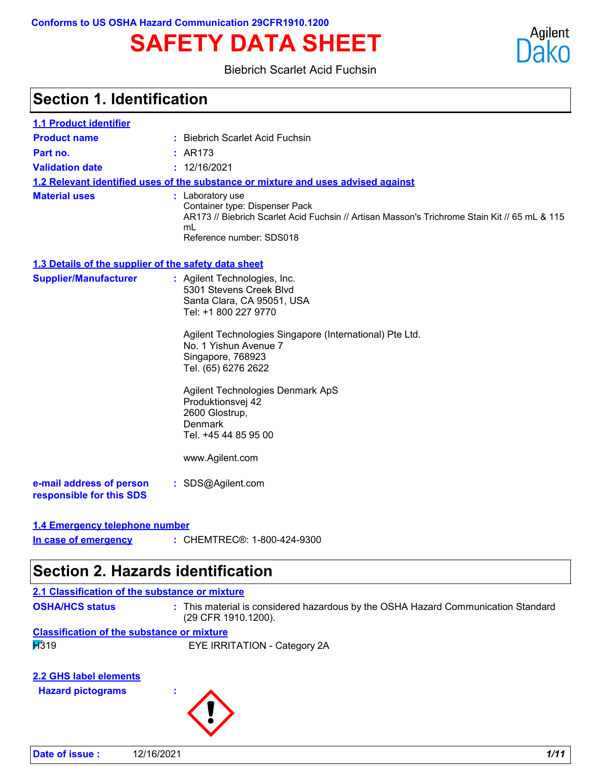# **SAFETY DATA SHEET**



#### Biebrich Scarlet Acid Fuchsin

| <b>Section 1. Identification</b>                     |                                                                                                                                                                                                                                                                                                                                                                                |
|------------------------------------------------------|--------------------------------------------------------------------------------------------------------------------------------------------------------------------------------------------------------------------------------------------------------------------------------------------------------------------------------------------------------------------------------|
| <b>1.1 Product identifier</b>                        |                                                                                                                                                                                                                                                                                                                                                                                |
| <b>Product name</b>                                  | : Biebrich Scarlet Acid Fuchsin                                                                                                                                                                                                                                                                                                                                                |
| Part no.                                             | : AR173                                                                                                                                                                                                                                                                                                                                                                        |
| <b>Validation date</b>                               | : 12/16/2021                                                                                                                                                                                                                                                                                                                                                                   |
|                                                      | 1.2 Relevant identified uses of the substance or mixture and uses advised against                                                                                                                                                                                                                                                                                              |
| <b>Material uses</b>                                 | : Laboratory use<br>Container type: Dispenser Pack<br>AR173 // Biebrich Scarlet Acid Fuchsin // Artisan Masson's Trichrome Stain Kit // 65 mL & 115<br>mL<br>Reference number: SDS018                                                                                                                                                                                          |
| 1.3 Details of the supplier of the safety data sheet |                                                                                                                                                                                                                                                                                                                                                                                |
| <b>Supplier/Manufacturer</b>                         | : Agilent Technologies, Inc.<br>5301 Stevens Creek Blvd<br>Santa Clara, CA 95051, USA<br>Tel: +1 800 227 9770<br>Agilent Technologies Singapore (International) Pte Ltd.<br>No. 1 Yishun Avenue 7<br>Singapore, 768923<br>Tel. (65) 6276 2622<br>Agilent Technologies Denmark ApS<br>Produktionsvej 42<br>2600 Glostrup,<br>Denmark<br>Tel. +45 44 85 95 00<br>www.Agilent.com |
| e-mail address of person<br>responsible for this SDS | : SDS@Agilent.com                                                                                                                                                                                                                                                                                                                                                              |
| 1.4 Emergency telephone number                       |                                                                                                                                                                                                                                                                                                                                                                                |
| In case of emergency                                 | : CHEMTREC®: 1-800-424-9300                                                                                                                                                                                                                                                                                                                                                    |

# **Section 2. Hazards identification**

| 2.1 Classification of the substance or mixture     |                                                                                                          |
|----------------------------------------------------|----------------------------------------------------------------------------------------------------------|
| <b>OSHA/HCS status</b>                             | : This material is considered hazardous by the OSHA Hazard Communication Standard<br>(29 CFR 1910.1200). |
| <b>Classification of the substance or mixture</b>  |                                                                                                          |
| H319                                               | EYE IRRITATION - Category 2A                                                                             |
| 2.2 GHS label elements<br><b>Hazard pictograms</b> |                                                                                                          |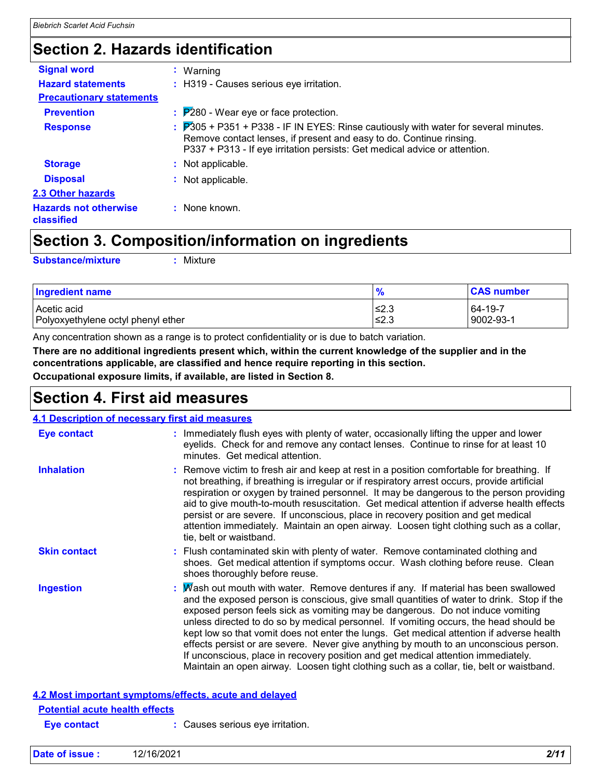# **Section 2. Hazards identification**

| <b>Signal word</b>                         | $:$ Warning                                                                                                                                                                                                                                                       |
|--------------------------------------------|-------------------------------------------------------------------------------------------------------------------------------------------------------------------------------------------------------------------------------------------------------------------|
| <b>Hazard statements</b>                   | : H319 - Causes serious eye irritation.                                                                                                                                                                                                                           |
| <b>Precautionary statements</b>            |                                                                                                                                                                                                                                                                   |
| <b>Prevention</b>                          | $\frac{1}{2}$ $\mathbb{P}280$ - Wear eye or face protection.                                                                                                                                                                                                      |
| <b>Response</b>                            | $\frac{1}{2}$ $\overline{P}305$ + P351 + P338 - IF IN EYES: Rinse cautiously with water for several minutes.<br>Remove contact lenses, if present and easy to do. Continue rinsing.<br>P337 + P313 - If eye irritation persists: Get medical advice or attention. |
| <b>Storage</b>                             | : Not applicable.                                                                                                                                                                                                                                                 |
| <b>Disposal</b>                            | $:$ Not applicable.                                                                                                                                                                                                                                               |
| 2.3 Other hazards                          |                                                                                                                                                                                                                                                                   |
| <b>Hazards not otherwise</b><br>classified | : None known.                                                                                                                                                                                                                                                     |

# **Section 3. Composition/information on ingredients**

**Substance/mixture :**

: Mixture

| <b>Ingredient name</b>             | 70     | <b>CAS number</b> |
|------------------------------------|--------|-------------------|
| Acetic acid                        | $≤2.3$ | 64-19-7           |
| Polyoxyethylene octyl phenyl ether | ≤2.3   | 9002-93-1         |

Any concentration shown as a range is to protect confidentiality or is due to batch variation.

**There are no additional ingredients present which, within the current knowledge of the supplier and in the concentrations applicable, are classified and hence require reporting in this section.**

**Occupational exposure limits, if available, are listed in Section 8.**

### **Section 4. First aid measures**

| 4.1 Description of necessary first aid measures        |                                                                                                                                                                                                                                                                                                                                                                                                                                                                                                                                                                                                                                                                                                                                   |
|--------------------------------------------------------|-----------------------------------------------------------------------------------------------------------------------------------------------------------------------------------------------------------------------------------------------------------------------------------------------------------------------------------------------------------------------------------------------------------------------------------------------------------------------------------------------------------------------------------------------------------------------------------------------------------------------------------------------------------------------------------------------------------------------------------|
| <b>Eye contact</b>                                     | : Immediately flush eyes with plenty of water, occasionally lifting the upper and lower<br>eyelids. Check for and remove any contact lenses. Continue to rinse for at least 10<br>minutes. Get medical attention.                                                                                                                                                                                                                                                                                                                                                                                                                                                                                                                 |
| <b>Inhalation</b>                                      | : Remove victim to fresh air and keep at rest in a position comfortable for breathing. If<br>not breathing, if breathing is irregular or if respiratory arrest occurs, provide artificial<br>respiration or oxygen by trained personnel. It may be dangerous to the person providing<br>aid to give mouth-to-mouth resuscitation. Get medical attention if adverse health effects<br>persist or are severe. If unconscious, place in recovery position and get medical<br>attention immediately. Maintain an open airway. Loosen tight clothing such as a collar,<br>tie, belt or waistband.                                                                                                                                      |
| <b>Skin contact</b>                                    | : Flush contaminated skin with plenty of water. Remove contaminated clothing and<br>shoes. Get medical attention if symptoms occur. Wash clothing before reuse. Clean<br>shoes thoroughly before reuse.                                                                                                                                                                                                                                                                                                                                                                                                                                                                                                                           |
| <b>Ingestion</b>                                       | : Mash out mouth with water. Remove dentures if any. If material has been swallowed<br>and the exposed person is conscious, give small quantities of water to drink. Stop if the<br>exposed person feels sick as vomiting may be dangerous. Do not induce vomiting<br>unless directed to do so by medical personnel. If vomiting occurs, the head should be<br>kept low so that vomit does not enter the lungs. Get medical attention if adverse health<br>effects persist or are severe. Never give anything by mouth to an unconscious person.<br>If unconscious, place in recovery position and get medical attention immediately.<br>Maintain an open airway. Loosen tight clothing such as a collar, tie, belt or waistband. |
| 4.2 Most important symptoms/effects, acute and delayed |                                                                                                                                                                                                                                                                                                                                                                                                                                                                                                                                                                                                                                                                                                                                   |
| <b>Potential acute health effects</b>                  |                                                                                                                                                                                                                                                                                                                                                                                                                                                                                                                                                                                                                                                                                                                                   |

| <b>Eye contact</b> |
|--------------------|

**Eye contact :** Causes serious eye irritation.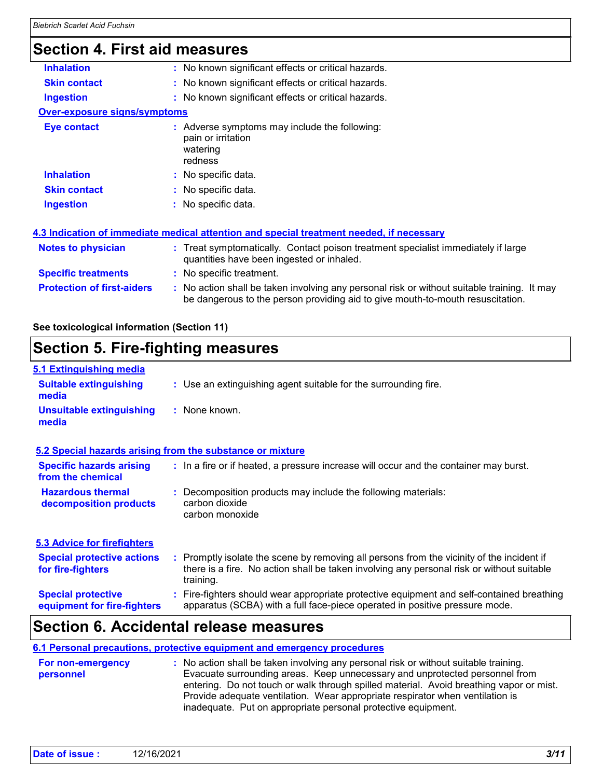# **Section 4. First aid measures**

| <b>Inhalation</b>                   | : No known significant effects or critical hazards.                                                                                                                           |
|-------------------------------------|-------------------------------------------------------------------------------------------------------------------------------------------------------------------------------|
| <b>Skin contact</b>                 | : No known significant effects or critical hazards.                                                                                                                           |
| <b>Ingestion</b>                    | : No known significant effects or critical hazards.                                                                                                                           |
| <b>Over-exposure signs/symptoms</b> |                                                                                                                                                                               |
| Eye contact                         | $:$ Adverse symptoms may include the following:<br>pain or irritation<br>watering<br>redness                                                                                  |
| <b>Inhalation</b>                   | : No specific data.                                                                                                                                                           |
| <b>Skin contact</b>                 | : No specific data.                                                                                                                                                           |
| <b>Ingestion</b>                    | : No specific data.                                                                                                                                                           |
|                                     | 4.3 Indication of immediate medical attention and special treatment needed, if necessary                                                                                      |
| <b>Notes to physician</b>           | : Treat symptomatically. Contact poison treatment specialist immediately if large<br>quantities have been ingested or inhaled.                                                |
| <b>Specific treatments</b>          | : No specific treatment.                                                                                                                                                      |
| <b>Protection of first-aiders</b>   | : No action shall be taken involving any personal risk or without suitable training. It may<br>be dangerous to the person providing aid to give mouth-to-mouth resuscitation. |
|                                     |                                                                                                                                                                               |

**See toxicological information (Section 11)**

# **Section 5. Fire-fighting measures**

| 5.1 Extinguishing media                                   |                                                                                                                                                                                                     |  |
|-----------------------------------------------------------|-----------------------------------------------------------------------------------------------------------------------------------------------------------------------------------------------------|--|
| <b>Suitable extinguishing</b><br>media                    | : Use an extinguishing agent suitable for the surrounding fire.                                                                                                                                     |  |
| <b>Unsuitable extinguishing</b><br>media                  | : None known.                                                                                                                                                                                       |  |
| 5.2 Special hazards arising from the substance or mixture |                                                                                                                                                                                                     |  |
| <b>Specific hazards arising</b><br>from the chemical      | : In a fire or if heated, a pressure increase will occur and the container may burst.                                                                                                               |  |
| <b>Hazardous thermal</b><br>decomposition products        | Decomposition products may include the following materials:<br>carbon dioxide<br>carbon monoxide                                                                                                    |  |
| <b>5.3 Advice for firefighters</b>                        |                                                                                                                                                                                                     |  |
| <b>Special protective actions</b><br>for fire-fighters    | : Promptly isolate the scene by removing all persons from the vicinity of the incident if<br>there is a fire. No action shall be taken involving any personal risk or without suitable<br>training. |  |
| <b>Special protective</b><br>equipment for fire-fighters  | : Fire-fighters should wear appropriate protective equipment and self-contained breathing<br>apparatus (SCBA) with a full face-piece operated in positive pressure mode.                            |  |

# **Section 6. Accidental release measures**

#### **6.1 Personal precautions, protective equipment and emergency procedures**

| <b>For non-emergency</b> | : No action shall be taken involving any personal risk or without suitable training.    |  |  |
|--------------------------|-----------------------------------------------------------------------------------------|--|--|
| personnel                | Evacuate surrounding areas. Keep unnecessary and unprotected personnel from             |  |  |
|                          | entering. Do not touch or walk through spilled material. Avoid breathing vapor or mist. |  |  |
|                          | Provide adequate ventilation. Wear appropriate respirator when ventilation is           |  |  |
|                          | inadequate. Put on appropriate personal protective equipment.                           |  |  |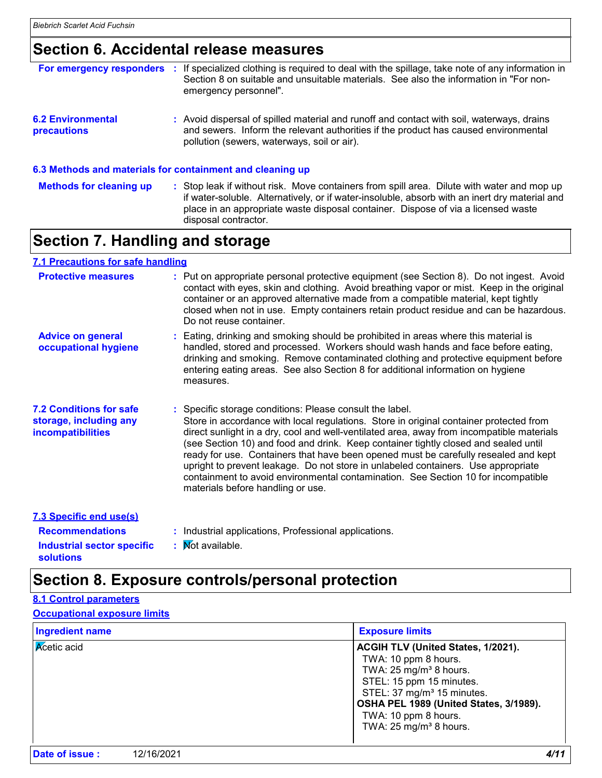# **Section 6. Accidental release measures**

| For emergency responders                       | If specialized clothing is required to deal with the spillage, take note of any information in<br>Section 8 on suitable and unsuitable materials. See also the information in "For non-<br>emergency personnel".                                                                 |
|------------------------------------------------|----------------------------------------------------------------------------------------------------------------------------------------------------------------------------------------------------------------------------------------------------------------------------------|
| <b>6.2 Environmental</b><br><b>precautions</b> | : Avoid dispersal of spilled material and runoff and contact with soil, waterways, drains<br>and sewers. Inform the relevant authorities if the product has caused environmental<br>pollution (sewers, waterways, soil or air).                                                  |
|                                                | 6.3 Methods and materials for containment and cleaning up                                                                                                                                                                                                                        |
| <b>Methods for cleaning up</b>                 | : Stop leak if without risk. Move containers from spill area. Dilute with water and mop up<br>if water-soluble. Alternatively, or if water-insoluble, absorb with an inert dry material and<br>place in an appropriate waste disposal container. Dispose of via a licensed waste |

# **Section 7. Handling and storage**

#### **7.1 Precautions for safe handling**

| <b>Protective measures</b>                                                           | : Put on appropriate personal protective equipment (see Section 8). Do not ingest. Avoid<br>contact with eyes, skin and clothing. Avoid breathing vapor or mist. Keep in the original<br>container or an approved alternative made from a compatible material, kept tightly<br>closed when not in use. Empty containers retain product residue and can be hazardous.<br>Do not reuse container.                                                                                                                                                                                                                                              |
|--------------------------------------------------------------------------------------|----------------------------------------------------------------------------------------------------------------------------------------------------------------------------------------------------------------------------------------------------------------------------------------------------------------------------------------------------------------------------------------------------------------------------------------------------------------------------------------------------------------------------------------------------------------------------------------------------------------------------------------------|
| <b>Advice on general</b><br>occupational hygiene                                     | : Eating, drinking and smoking should be prohibited in areas where this material is<br>handled, stored and processed. Workers should wash hands and face before eating,<br>drinking and smoking. Remove contaminated clothing and protective equipment before<br>entering eating areas. See also Section 8 for additional information on hygiene<br>measures.                                                                                                                                                                                                                                                                                |
| <b>7.2 Conditions for safe</b><br>storage, including any<br><b>incompatibilities</b> | : Specific storage conditions: Please consult the label.<br>Store in accordance with local regulations. Store in original container protected from<br>direct sunlight in a dry, cool and well-ventilated area, away from incompatible materials<br>(see Section 10) and food and drink. Keep container tightly closed and sealed until<br>ready for use. Containers that have been opened must be carefully resealed and kept<br>upright to prevent leakage. Do not store in unlabeled containers. Use appropriate<br>containment to avoid environmental contamination. See Section 10 for incompatible<br>materials before handling or use. |
| 7.3 Specific end use(s)                                                              |                                                                                                                                                                                                                                                                                                                                                                                                                                                                                                                                                                                                                                              |
| <b>Recommendations</b>                                                               | : Industrial applications, Professional applications.                                                                                                                                                                                                                                                                                                                                                                                                                                                                                                                                                                                        |

**Industrial sector specific : Mot available. solutions**

disposal contractor.

# **Section 8. Exposure controls/personal protection**

### **8.1 Control parameters**

#### **Occupational exposure limits**

| <b>Ingredient name</b> | <b>Exposure limits</b>                                                                                                                                                                                                                                                       |
|------------------------|------------------------------------------------------------------------------------------------------------------------------------------------------------------------------------------------------------------------------------------------------------------------------|
| <b>Acetic</b> acid     | ACGIH TLV (United States, 1/2021).<br>TWA: 10 ppm 8 hours.<br>TWA: $25 \text{ mg/m}^3$ 8 hours.<br>STEL: 15 ppm 15 minutes.<br>STEL: 37 mg/m <sup>3</sup> 15 minutes.<br>OSHA PEL 1989 (United States, 3/1989).<br>TWA: 10 ppm 8 hours.<br>TWA: $25 \text{ mg/m}^3$ 8 hours. |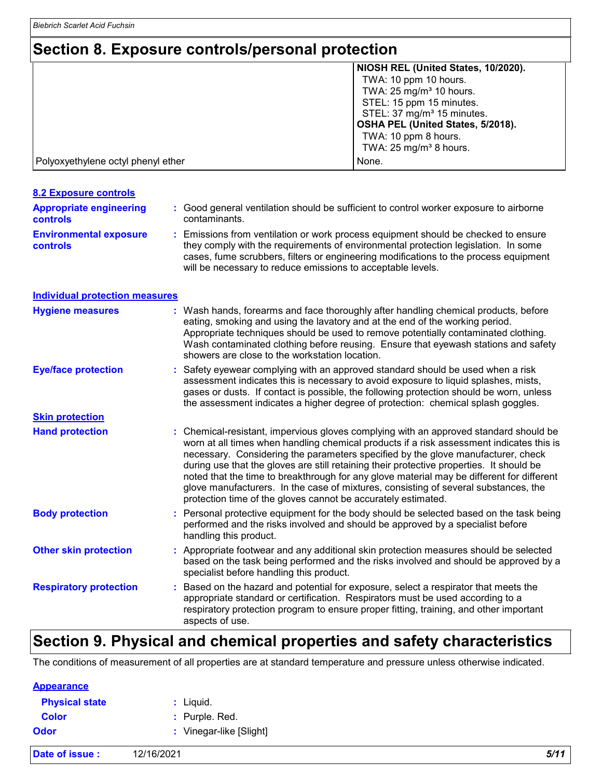# **Section 8. Exposure controls/personal protection**

|                                    | NIOSH REL (United States, 10/2020).    |
|------------------------------------|----------------------------------------|
|                                    | TWA: 10 ppm 10 hours.                  |
|                                    | TWA: $25 \text{ mg/m}^3$ 10 hours.     |
|                                    | STEL: 15 ppm 15 minutes.               |
|                                    | STEL: 37 mg/m <sup>3</sup> 15 minutes. |
|                                    | OSHA PEL (United States, 5/2018).      |
|                                    | TWA: 10 ppm 8 hours.                   |
|                                    | TWA: $25 \text{ mg/m}^3$ 8 hours.      |
| Polyoxyethylene octyl phenyl ether | None.                                  |

| <b>8.2 Exposure controls</b>                     |                                                                                                                                                                                                                                                                                                                                                                                                                                                                                                                                                                                                                      |
|--------------------------------------------------|----------------------------------------------------------------------------------------------------------------------------------------------------------------------------------------------------------------------------------------------------------------------------------------------------------------------------------------------------------------------------------------------------------------------------------------------------------------------------------------------------------------------------------------------------------------------------------------------------------------------|
| <b>Appropriate engineering</b><br>controls       | : Good general ventilation should be sufficient to control worker exposure to airborne<br>contaminants.                                                                                                                                                                                                                                                                                                                                                                                                                                                                                                              |
| <b>Environmental exposure</b><br><b>controls</b> | Emissions from ventilation or work process equipment should be checked to ensure<br>they comply with the requirements of environmental protection legislation. In some<br>cases, fume scrubbers, filters or engineering modifications to the process equipment<br>will be necessary to reduce emissions to acceptable levels.                                                                                                                                                                                                                                                                                        |
| <b>Individual protection measures</b>            |                                                                                                                                                                                                                                                                                                                                                                                                                                                                                                                                                                                                                      |
| <b>Hygiene measures</b>                          | Wash hands, forearms and face thoroughly after handling chemical products, before<br>eating, smoking and using the lavatory and at the end of the working period.<br>Appropriate techniques should be used to remove potentially contaminated clothing.<br>Wash contaminated clothing before reusing. Ensure that eyewash stations and safety<br>showers are close to the workstation location.                                                                                                                                                                                                                      |
| <b>Eye/face protection</b>                       | Safety eyewear complying with an approved standard should be used when a risk<br>assessment indicates this is necessary to avoid exposure to liquid splashes, mists,<br>gases or dusts. If contact is possible, the following protection should be worn, unless<br>the assessment indicates a higher degree of protection: chemical splash goggles.                                                                                                                                                                                                                                                                  |
| <b>Skin protection</b>                           |                                                                                                                                                                                                                                                                                                                                                                                                                                                                                                                                                                                                                      |
| <b>Hand protection</b>                           | Chemical-resistant, impervious gloves complying with an approved standard should be<br>worn at all times when handling chemical products if a risk assessment indicates this is<br>necessary. Considering the parameters specified by the glove manufacturer, check<br>during use that the gloves are still retaining their protective properties. It should be<br>noted that the time to breakthrough for any glove material may be different for different<br>glove manufacturers. In the case of mixtures, consisting of several substances, the<br>protection time of the gloves cannot be accurately estimated. |
| <b>Body protection</b>                           | Personal protective equipment for the body should be selected based on the task being<br>performed and the risks involved and should be approved by a specialist before<br>handling this product.                                                                                                                                                                                                                                                                                                                                                                                                                    |
| <b>Other skin protection</b>                     | : Appropriate footwear and any additional skin protection measures should be selected<br>based on the task being performed and the risks involved and should be approved by a<br>specialist before handling this product.                                                                                                                                                                                                                                                                                                                                                                                            |
| <b>Respiratory protection</b>                    | : Based on the hazard and potential for exposure, select a respirator that meets the<br>appropriate standard or certification. Respirators must be used according to a<br>respiratory protection program to ensure proper fitting, training, and other important<br>aspects of use.                                                                                                                                                                                                                                                                                                                                  |

# **Section 9. Physical and chemical properties and safety characteristics**

The conditions of measurement of all properties are at standard temperature and pressure unless otherwise indicated.

| Date of issue :       | 12/16/2021            | 5/11 |
|-----------------------|-----------------------|------|
| Odor                  | Vinegar-like [Slight] |      |
| <b>Color</b>          | : Purple. Red.        |      |
| <b>Physical state</b> | Liquid.               |      |
| <b>Appearance</b>     |                       |      |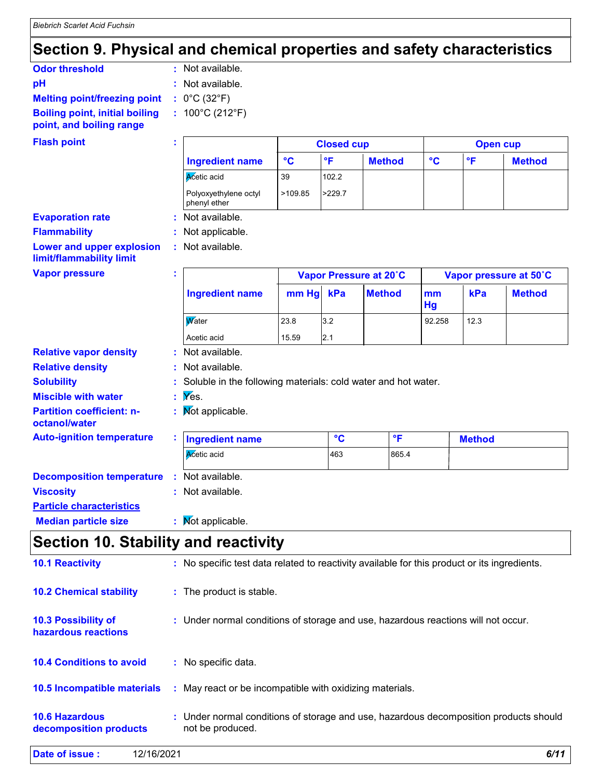# **Section 9. Physical and chemical properties and safety characteristics**

| : Not available.                     |
|--------------------------------------|
| : Not available.                     |
| : $0^{\circ}$ C (32 $^{\circ}$ F)    |
| : $100^{\circ}$ C (212 $^{\circ}$ F) |
|                                      |

### **Flash point**

| <b>Flash point</b>                                           |   | <b>Closed cup</b>                                             |                 |                         |                         |                 | <b>Open cup</b>         |                        |  |
|--------------------------------------------------------------|---|---------------------------------------------------------------|-----------------|-------------------------|-------------------------|-----------------|-------------------------|------------------------|--|
|                                                              |   | <b>Ingredient name</b>                                        | $\rm ^{\circ}C$ | $\overline{\mathsf{F}}$ | <b>Method</b>           | $\rm ^{\circ}C$ | $\overline{\mathsf{F}}$ | <b>Method</b>          |  |
|                                                              |   | Acetic acid                                                   | 39              | 102.2                   |                         |                 |                         |                        |  |
|                                                              |   | Polyoxyethylene octyl<br>phenyl ether                         | >109.85         | >229.7                  |                         |                 |                         |                        |  |
| <b>Evaporation rate</b>                                      |   | Not available.                                                |                 |                         |                         |                 |                         |                        |  |
| <b>Flammability</b>                                          |   | Not applicable.                                               |                 |                         |                         |                 |                         |                        |  |
| <b>Lower and upper explosion</b><br>limit/flammability limit |   | : Not available.                                              |                 |                         |                         |                 |                         |                        |  |
| <b>Vapor pressure</b>                                        | t |                                                               |                 |                         | Vapor Pressure at 20°C  |                 |                         | Vapor pressure at 50°C |  |
|                                                              |   | <b>Ingredient name</b>                                        | mm Hg           | kPa                     | <b>Method</b>           | mm<br>Hg        | kPa                     | <b>Method</b>          |  |
|                                                              |   | <b>W</b> ater                                                 | 23.8            | 3.2                     |                         | 92.258          | 12.3                    |                        |  |
|                                                              |   | Acetic acid                                                   | 15.59           | 2.1                     |                         |                 |                         |                        |  |
| <b>Relative vapor density</b>                                |   | Not available.                                                |                 |                         |                         |                 |                         |                        |  |
| <b>Relative density</b>                                      |   | : Not available.                                              |                 |                         |                         |                 |                         |                        |  |
| <b>Solubility</b>                                            |   | Soluble in the following materials: cold water and hot water. |                 |                         |                         |                 |                         |                        |  |
| <b>Miscible with water</b>                                   |   | $\mathbf{y}$ $\mathbf{y}$ $\mathbf{g}$ $\mathbf{g}$           |                 |                         |                         |                 |                         |                        |  |
| <b>Partition coefficient: n-</b><br>octanol/water            |   | <b>Not applicable.</b>                                        |                 |                         |                         |                 |                         |                        |  |
| <b>Auto-ignition temperature</b>                             |   | <b>Ingredient name</b>                                        |                 | $\circ$ C               | $\overline{\mathsf{F}}$ |                 | <b>Method</b>           |                        |  |
|                                                              |   | Acetic acid                                                   |                 | 463                     | 865.4                   |                 |                         |                        |  |
| <b>Decomposition temperature</b>                             |   | : Not available.                                              |                 |                         |                         |                 |                         |                        |  |
| <b>Viscosity</b>                                             |   | : Not available.                                              |                 |                         |                         |                 |                         |                        |  |
| <b>Particle characteristics</b>                              |   |                                                               |                 |                         |                         |                 |                         |                        |  |
| <b>Median particle size</b>                                  |   | : Mot applicable.                                             |                 |                         |                         |                 |                         |                        |  |

# **Section 10. Stability and reactivity**

| <b>10.4 Conditions to avoid</b>                 | : No specific data.                                                                                       |
|-------------------------------------------------|-----------------------------------------------------------------------------------------------------------|
| 10.5 Incompatible materials                     | : May react or be incompatible with oxidizing materials.                                                  |
| <b>10.6 Hazardous</b><br>decomposition products | : Under normal conditions of storage and use, hazardous decomposition products should<br>not be produced. |
| Date of issue:<br>12/16/2021                    | 6/11                                                                                                      |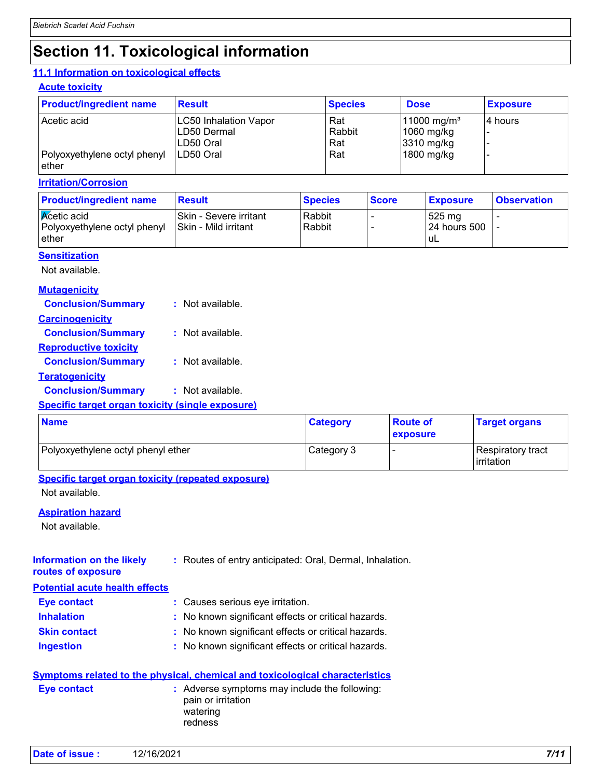# **Section 11. Toxicological information**

#### **11.1 Information on toxicological effects**

#### **Acute toxicity**

| <b>Product/ingredient name</b>        | <b>Result</b>                                            | <b>Species</b>       | <b>Dose</b>                                           | <b>Exposure</b> |
|---------------------------------------|----------------------------------------------------------|----------------------|-------------------------------------------------------|-----------------|
| Acetic acid                           | <b>LC50 Inhalation Vapor</b><br>LD50 Dermal<br>LD50 Oral | Rat<br>Rabbit<br>Rat | 11000 mg/m <sup>3</sup><br>$1060$ mg/kg<br>3310 mg/kg | l4 hours        |
| Polyoxyethylene octyl phenyl<br>ether | ILD50 Oral                                               | Rat                  | 1800 mg/kg                                            |                 |

#### **Irritation/Corrosion**

| <b>Product/ingredient name</b>                                        | Result                                          | <b>Species</b>   | <b>Score</b> | <b>Exposure</b>                         | <b>Observation</b> |
|-----------------------------------------------------------------------|-------------------------------------------------|------------------|--------------|-----------------------------------------|--------------------|
| <b>K</b> cetic acid<br>Polyoxyethylene octyl phenyl<br><b>l</b> ether | ISkin - Severe irritant<br>Skin - Mild irritant | Rabbit<br>Rabbit |              | $525 \text{ mg}$<br>24 hours 500<br>±u∟ |                    |

#### **Sensitization**

Not available.

#### **Mutagenicity**

| <b>Conclusion/Summary</b>    | : Not available. |
|------------------------------|------------------|
| <b>Carcinogenicity</b>       |                  |
| <b>Conclusion/Summary</b>    | : Not available. |
| <u>Reproductive toxicity</u> |                  |
| <b>Conclusion/Summary</b>    | : Not available. |

**Teratogenicity**

**Conclusion/Summary :** Not available.

#### **Specific target organ toxicity (single exposure)**

| <b>Name</b>                        | <b>Category</b> | <b>Route of</b><br><b>exposure</b> | <b>Target organs</b>                     |
|------------------------------------|-----------------|------------------------------------|------------------------------------------|
| Polyoxyethylene octyl phenyl ether | Category 3      |                                    | Respiratory tract<br><b>l</b> irritation |

#### **Specific target organ toxicity (repeated exposure)**

Not available.

#### **Aspiration hazard**

Not available.

#### **Information on the likely routes of exposure :** Routes of entry anticipated: Oral, Dermal, Inhalation.

#### **Potential acute health effects**

| Eye contact         | : Causes serious eye irritation.                    |
|---------------------|-----------------------------------------------------|
| <b>Inhalation</b>   | : No known significant effects or critical hazards. |
| <b>Skin contact</b> | : No known significant effects or critical hazards. |
| <b>Ingestion</b>    | : No known significant effects or critical hazards. |

|                    | Symptoms related to the physical, chemical and toxicological characteristics    |
|--------------------|---------------------------------------------------------------------------------|
| <b>Eve contact</b> | : Adverse symptoms may include the following:<br>pain or irritation<br>watering |

redness

```
Date of issue : 12/16/2021 7/11
```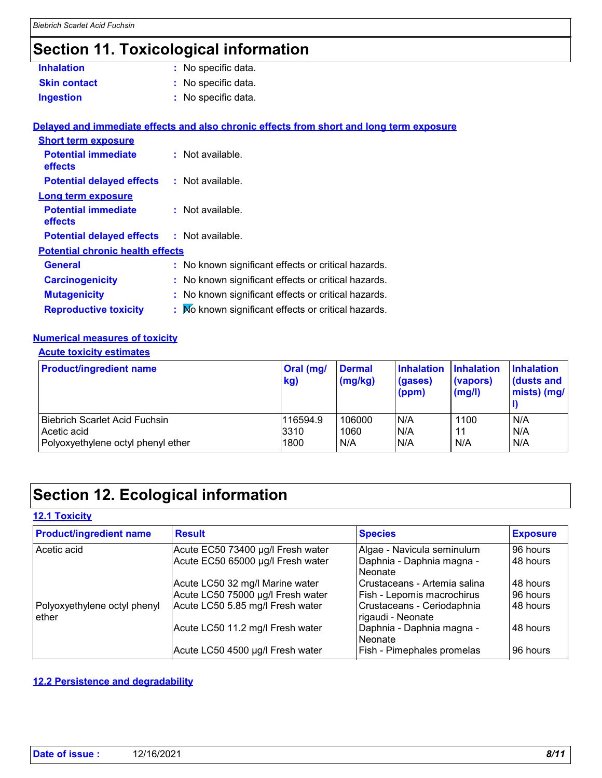# **Section 11. Toxicological information**

| <b>Inhalation</b>   | : No specific data. |
|---------------------|---------------------|
| <b>Skin contact</b> | : No specific data. |
| <b>Ingestion</b>    | : No specific data. |

|                                              | Delayed and immediate effects and also chronic effects from short and long term exposure |  |  |  |
|----------------------------------------------|------------------------------------------------------------------------------------------|--|--|--|
| <b>Short term exposure</b>                   |                                                                                          |  |  |  |
| <b>Potential immediate</b><br><b>effects</b> | : Not available.                                                                         |  |  |  |
| <b>Potential delayed effects</b>             | : Not available.                                                                         |  |  |  |
| Long term exposure                           |                                                                                          |  |  |  |
| <b>Potential immediate</b><br><b>effects</b> | $\therefore$ Not available.                                                              |  |  |  |
| <b>Potential delayed effects</b>             | : Not available.                                                                         |  |  |  |
| <b>Potential chronic health effects</b>      |                                                                                          |  |  |  |
| <b>General</b>                               | : No known significant effects or critical hazards.                                      |  |  |  |
| <b>Carcinogenicity</b>                       | : No known significant effects or critical hazards.                                      |  |  |  |
| <b>Mutagenicity</b>                          | : No known significant effects or critical hazards.                                      |  |  |  |
| <b>Reproductive toxicity</b>                 | : No known significant effects or critical hazards.                                      |  |  |  |

#### **Numerical measures of toxicity**

#### **Acute toxicity estimates**

| <b>Product/ingredient name</b>     | <b>Oral (mg/</b><br>kg) | <b>Dermal</b><br>$\frac{1}{2}$ (mg/kg) | <b>Inhalation</b><br>(gases)<br>(ppm) | <b>Inhalation</b><br>(vapors)<br>(mg/l) | <b>Inhalation</b><br>$\vert$ (dusts and<br>$mists)$ (mg/ |
|------------------------------------|-------------------------|----------------------------------------|---------------------------------------|-----------------------------------------|----------------------------------------------------------|
| Biebrich Scarlet Acid Fuchsin      | 116594.9                | 106000                                 | N/A                                   | 1100                                    | N/A                                                      |
| Acetic acid                        | 3310                    | 1060                                   | N/A                                   | 11                                      | N/A                                                      |
| Polyoxyethylene octyl phenyl ether | 1800                    | N/A                                    | N/A                                   | N/A                                     | N/A                                                      |

# **Section 12. Ecological information**

#### **12.1 Toxicity**

| <b>Product/ingredient name</b>        | <b>Result</b>                     | <b>Species</b>                                  | <b>Exposure</b> |  |
|---------------------------------------|-----------------------------------|-------------------------------------------------|-----------------|--|
| Acetic acid                           | Acute EC50 73400 µg/l Fresh water | Algae - Navicula seminulum                      | 96 hours        |  |
|                                       | Acute EC50 65000 µg/l Fresh water | Daphnia - Daphnia magna -<br>Neonate            | 48 hours        |  |
|                                       | Acute LC50 32 mg/l Marine water   | Crustaceans - Artemia salina                    | 48 hours        |  |
|                                       | Acute LC50 75000 µg/l Fresh water | Fish - Lepomis macrochirus                      | 96 hours        |  |
| Polyoxyethylene octyl phenyl<br>ether | Acute LC50 5.85 mg/l Fresh water  | Crustaceans - Ceriodaphnia<br>rigaudi - Neonate | 48 hours        |  |
|                                       | Acute LC50 11.2 mg/l Fresh water  | Daphnia - Daphnia magna -<br>Neonate            | 48 hours        |  |
|                                       | Acute LC50 4500 µg/l Fresh water  | Fish - Pimephales promelas                      | 96 hours        |  |

#### **12.2 Persistence and degradability**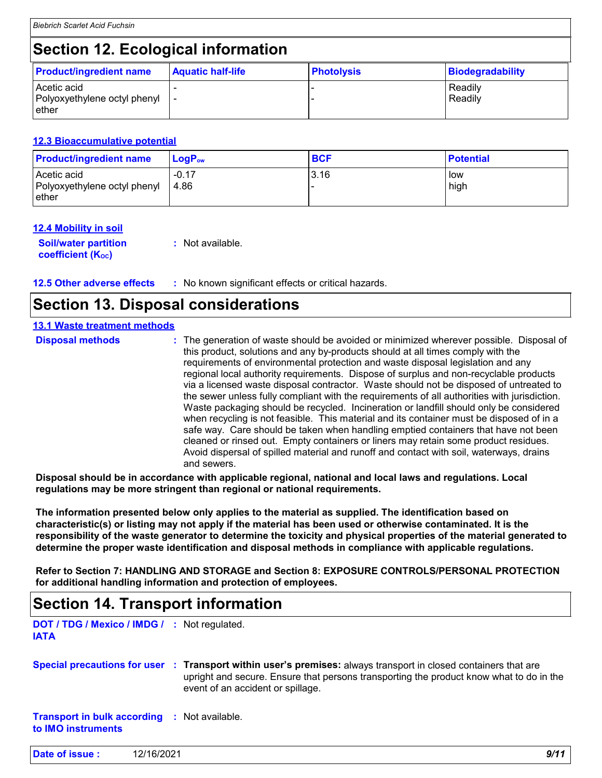# **Section 12. Ecological information**

| <b>Product/ingredient name</b>                       | <b>Aquatic half-life</b> | <b>Photolysis</b> | Biodegradability   |  |
|------------------------------------------------------|--------------------------|-------------------|--------------------|--|
| Acetic acid<br>Polyoxyethylene octyl phenyl<br>ether |                          |                   | Readily<br>Readily |  |

#### **12.3 Bioaccumulative potential**

| <b>Product/ingredient name</b>                       | $\mathsf{LogP}_\mathsf{ow}$ | <b>BCF</b> | <b>Potential</b> |
|------------------------------------------------------|-----------------------------|------------|------------------|
| Acetic acid<br>Polyoxyethylene octyl phenyl<br>ether | $-0.17$<br>4.86             | 3.16       | low<br>high      |

#### **12.4 Mobility in soil**

**Soil/water partition coefficient (KOC) :** Not available.

# **Section 13. Disposal considerations**

#### **13.1 Waste treatment methods**

| <b>Disposal methods</b> | : The generation of waste should be avoided or minimized wherever possible. Disposal of<br>this product, solutions and any by-products should at all times comply with the<br>requirements of environmental protection and waste disposal legislation and any<br>regional local authority requirements. Dispose of surplus and non-recyclable products<br>via a licensed waste disposal contractor. Waste should not be disposed of untreated to<br>the sewer unless fully compliant with the requirements of all authorities with jurisdiction.<br>Waste packaging should be recycled. Incineration or landfill should only be considered<br>when recycling is not feasible. This material and its container must be disposed of in a<br>safe way. Care should be taken when handling emptied containers that have not been<br>cleaned or rinsed out. Empty containers or liners may retain some product residues.<br>Avoid dispersal of spilled material and runoff and contact with soil, waterways, drains |
|-------------------------|----------------------------------------------------------------------------------------------------------------------------------------------------------------------------------------------------------------------------------------------------------------------------------------------------------------------------------------------------------------------------------------------------------------------------------------------------------------------------------------------------------------------------------------------------------------------------------------------------------------------------------------------------------------------------------------------------------------------------------------------------------------------------------------------------------------------------------------------------------------------------------------------------------------------------------------------------------------------------------------------------------------|
|                         | and sewers.                                                                                                                                                                                                                                                                                                                                                                                                                                                                                                                                                                                                                                                                                                                                                                                                                                                                                                                                                                                                    |

**Disposal should be in accordance with applicable regional, national and local laws and regulations. Local regulations may be more stringent than regional or national requirements.**

**The information presented below only applies to the material as supplied. The identification based on characteristic(s) or listing may not apply if the material has been used or otherwise contaminated. It is the responsibility of the waste generator to determine the toxicity and physical properties of the material generated to determine the proper waste identification and disposal methods in compliance with applicable regulations.**

**Refer to Section 7: HANDLING AND STORAGE and Section 8: EXPOSURE CONTROLS/PERSONAL PROTECTION for additional handling information and protection of employees.**

# **Section 14. Transport information**

**DOT / TDG / Mexico / IMDG / :** Not regulated. **IATA**

**Special precautions for user Transport within user's premises:** always transport in closed containers that are **:** upright and secure. Ensure that persons transporting the product know what to do in the event of an accident or spillage.

**Transport in bulk according :** Not available. **to IMO instruments**

**Date of issue :** 12/16/2021 *9/11*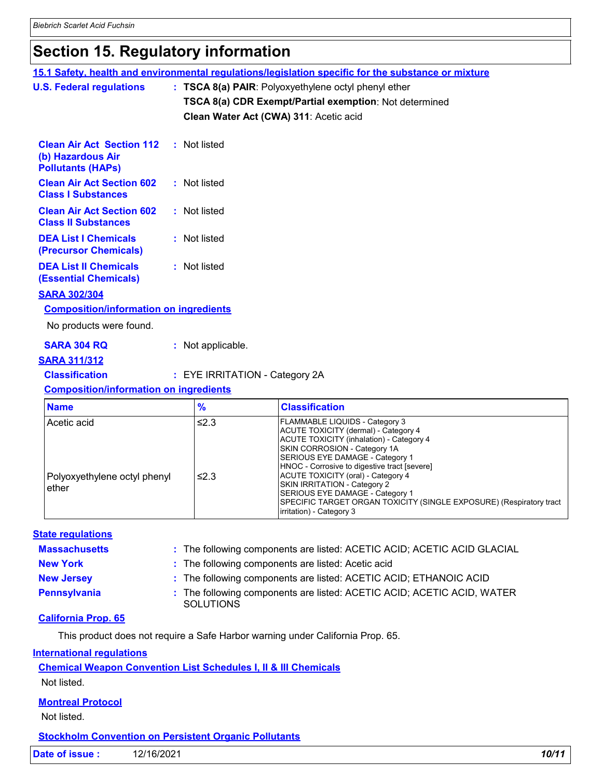# **Section 15. Regulatory information**

|                                 |                                                                                                         |  |                                        | 15.1 Safety, health and environmental regulations/legislation specific for the substance or mixture                                                                                                                                                                                                                                                                                                                    |  |
|---------------------------------|---------------------------------------------------------------------------------------------------------|--|----------------------------------------|------------------------------------------------------------------------------------------------------------------------------------------------------------------------------------------------------------------------------------------------------------------------------------------------------------------------------------------------------------------------------------------------------------------------|--|
| <b>U.S. Federal regulations</b> |                                                                                                         |  |                                        | : TSCA 8(a) PAIR: Polyoxyethylene octyl phenyl ether                                                                                                                                                                                                                                                                                                                                                                   |  |
|                                 |                                                                                                         |  |                                        | TSCA 8(a) CDR Exempt/Partial exemption: Not determined                                                                                                                                                                                                                                                                                                                                                                 |  |
|                                 |                                                                                                         |  | Clean Water Act (CWA) 311: Acetic acid |                                                                                                                                                                                                                                                                                                                                                                                                                        |  |
|                                 |                                                                                                         |  |                                        |                                                                                                                                                                                                                                                                                                                                                                                                                        |  |
|                                 | <b>Clean Air Act Section 112 : Not listed</b><br>(b) Hazardous Air<br><b>Pollutants (HAPs)</b>          |  |                                        |                                                                                                                                                                                                                                                                                                                                                                                                                        |  |
|                                 | <b>Clean Air Act Section 602</b><br><b>Class I Substances</b>                                           |  | : Not listed                           |                                                                                                                                                                                                                                                                                                                                                                                                                        |  |
|                                 | <b>Clean Air Act Section 602</b><br><b>Class II Substances</b>                                          |  | : Not listed                           |                                                                                                                                                                                                                                                                                                                                                                                                                        |  |
|                                 | <b>DEA List I Chemicals</b><br>(Precursor Chemicals)                                                    |  | : Not listed                           |                                                                                                                                                                                                                                                                                                                                                                                                                        |  |
|                                 | <b>DEA List II Chemicals</b><br><b>(Essential Chemicals)</b>                                            |  | : Not listed                           |                                                                                                                                                                                                                                                                                                                                                                                                                        |  |
|                                 | <b>SARA 302/304</b>                                                                                     |  |                                        |                                                                                                                                                                                                                                                                                                                                                                                                                        |  |
|                                 | <b>Composition/information on ingredients</b>                                                           |  |                                        |                                                                                                                                                                                                                                                                                                                                                                                                                        |  |
|                                 | No products were found.                                                                                 |  |                                        |                                                                                                                                                                                                                                                                                                                                                                                                                        |  |
|                                 | <b>SARA 304 RQ</b>                                                                                      |  | : Not applicable.                      |                                                                                                                                                                                                                                                                                                                                                                                                                        |  |
|                                 | <b>SARA 311/312</b>                                                                                     |  |                                        |                                                                                                                                                                                                                                                                                                                                                                                                                        |  |
|                                 | <b>Classification</b>                                                                                   |  | : EYE IRRITATION - Category 2A         |                                                                                                                                                                                                                                                                                                                                                                                                                        |  |
|                                 | <b>Composition/information on ingredients</b>                                                           |  |                                        |                                                                                                                                                                                                                                                                                                                                                                                                                        |  |
|                                 | <b>Name</b>                                                                                             |  | $\frac{9}{6}$                          | <b>Classification</b>                                                                                                                                                                                                                                                                                                                                                                                                  |  |
|                                 | Acetic acid                                                                                             |  | $≤2.3$                                 | FLAMMABLE LIQUIDS - Category 3                                                                                                                                                                                                                                                                                                                                                                                         |  |
|                                 | Polyoxyethylene octyl phenyl<br>ether                                                                   |  | ≤2.3                                   | ACUTE TOXICITY (dermal) - Category 4<br><b>ACUTE TOXICITY (inhalation) - Category 4</b><br>SKIN CORROSION - Category 1A<br>SERIOUS EYE DAMAGE - Category 1<br>HNOC - Corrosive to digestive tract [severe]<br>ACUTE TOXICITY (oral) - Category 4<br>SKIN IRRITATION - Category 2<br>SERIOUS EYE DAMAGE - Category 1<br>SPECIFIC TARGET ORGAN TOXICITY (SINGLE EXPOSURE) (Respiratory tract<br>irritation) - Category 3 |  |
|                                 |                                                                                                         |  |                                        |                                                                                                                                                                                                                                                                                                                                                                                                                        |  |
|                                 | <b>State regulations</b><br><b>Massachusetts</b>                                                        |  |                                        |                                                                                                                                                                                                                                                                                                                                                                                                                        |  |
|                                 | <b>New York</b>                                                                                         |  |                                        | : The following components are listed: ACETIC ACID; ACETIC ACID GLACIAL<br>The following components are listed: Acetic acid                                                                                                                                                                                                                                                                                            |  |
|                                 | <b>New Jersey</b>                                                                                       |  |                                        | The following components are listed: ACETIC ACID; ETHANOIC ACID                                                                                                                                                                                                                                                                                                                                                        |  |
|                                 | <b>Pennsylvania</b>                                                                                     |  | <b>SOLUTIONS</b>                       | The following components are listed: ACETIC ACID; ACETIC ACID, WATER                                                                                                                                                                                                                                                                                                                                                   |  |
|                                 | <b>California Prop. 65</b>                                                                              |  |                                        |                                                                                                                                                                                                                                                                                                                                                                                                                        |  |
|                                 |                                                                                                         |  |                                        | This product does not require a Safe Harbor warning under California Prop. 65.                                                                                                                                                                                                                                                                                                                                         |  |
|                                 |                                                                                                         |  |                                        |                                                                                                                                                                                                                                                                                                                                                                                                                        |  |
|                                 | <b>International requlations</b>                                                                        |  |                                        |                                                                                                                                                                                                                                                                                                                                                                                                                        |  |
|                                 | <b>Chemical Weapon Convention List Schedules I, II &amp; III Chemicals</b><br>Not listed.               |  |                                        |                                                                                                                                                                                                                                                                                                                                                                                                                        |  |
|                                 | <b>Montreal Protocol</b><br>Not listed.<br><b>Stockholm Convention on Persistent Organic Pollutants</b> |  |                                        |                                                                                                                                                                                                                                                                                                                                                                                                                        |  |

**Date of issue :** 12/16/2021 **10/11 10/11**